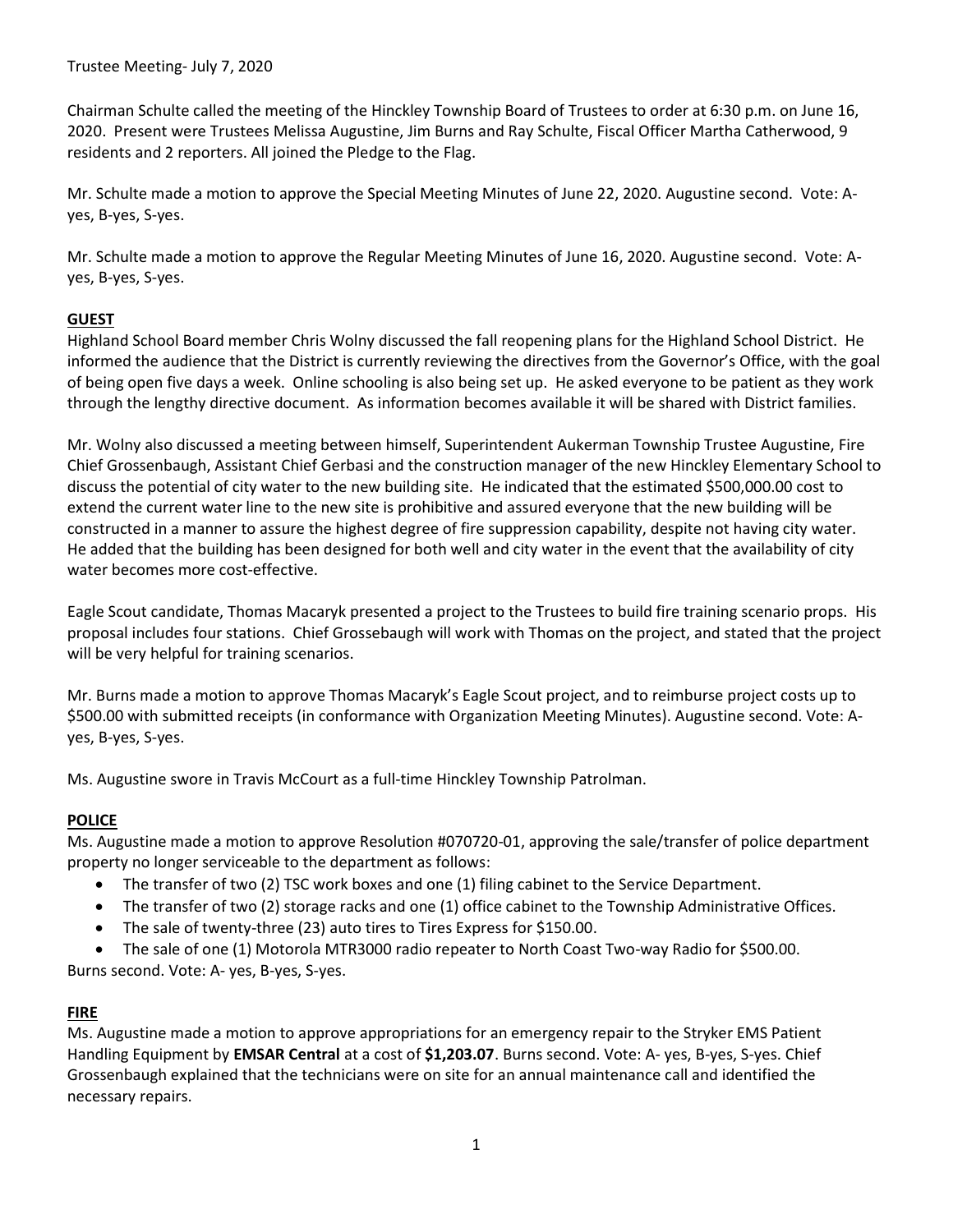Chairman Schulte called the meeting of the Hinckley Township Board of Trustees to order at 6:30 p.m. on June 16, 2020. Present were Trustees Melissa Augustine, Jim Burns and Ray Schulte, Fiscal Officer Martha Catherwood, 9 residents and 2 reporters. All joined the Pledge to the Flag.

Mr. Schulte made a motion to approve the Special Meeting Minutes of June 22, 2020. Augustine second. Vote: Ayes, B-yes, S-yes.

Mr. Schulte made a motion to approve the Regular Meeting Minutes of June 16, 2020. Augustine second. Vote: Ayes, B-yes, S-yes.

## **GUEST**

Highland School Board member Chris Wolny discussed the fall reopening plans for the Highland School District. He informed the audience that the District is currently reviewing the directives from the Governor's Office, with the goal of being open five days a week. Online schooling is also being set up. He asked everyone to be patient as they work through the lengthy directive document. As information becomes available it will be shared with District families.

Mr. Wolny also discussed a meeting between himself, Superintendent Aukerman Township Trustee Augustine, Fire Chief Grossenbaugh, Assistant Chief Gerbasi and the construction manager of the new Hinckley Elementary School to discuss the potential of city water to the new building site. He indicated that the estimated \$500,000.00 cost to extend the current water line to the new site is prohibitive and assured everyone that the new building will be constructed in a manner to assure the highest degree of fire suppression capability, despite not having city water. He added that the building has been designed for both well and city water in the event that the availability of city water becomes more cost-effective.

Eagle Scout candidate, Thomas Macaryk presented a project to the Trustees to build fire training scenario props. His proposal includes four stations. Chief Grossebaugh will work with Thomas on the project, and stated that the project will be very helpful for training scenarios.

Mr. Burns made a motion to approve Thomas Macaryk's Eagle Scout project, and to reimburse project costs up to \$500.00 with submitted receipts (in conformance with Organization Meeting Minutes). Augustine second. Vote: Ayes, B-yes, S-yes.

Ms. Augustine swore in Travis McCourt as a full-time Hinckley Township Patrolman.

# **POLICE**

Ms. Augustine made a motion to approve Resolution #070720-01, approving the sale/transfer of police department property no longer serviceable to the department as follows:

- The transfer of two (2) TSC work boxes and one (1) filing cabinet to the Service Department.
- The transfer of two (2) storage racks and one (1) office cabinet to the Township Administrative Offices.
- The sale of twenty-three (23) auto tires to Tires Express for \$150.00.
- The sale of one (1) Motorola MTR3000 radio repeater to North Coast Two-way Radio for \$500.00.

Burns second. Vote: A- yes, B-yes, S-yes.

# FIRE

Ms. Augustine made a motion to approve appropriations for an emergency repair to the Stryker EMS Patient Handling Equipment by **EMSAR Central** at a cost of \$1,203.07. Burns second. Vote: A- yes, B-yes, S-yes. Chief Grossenbaugh explained that the technicians were on site for an annual maintenance call and identified the necessary repairs.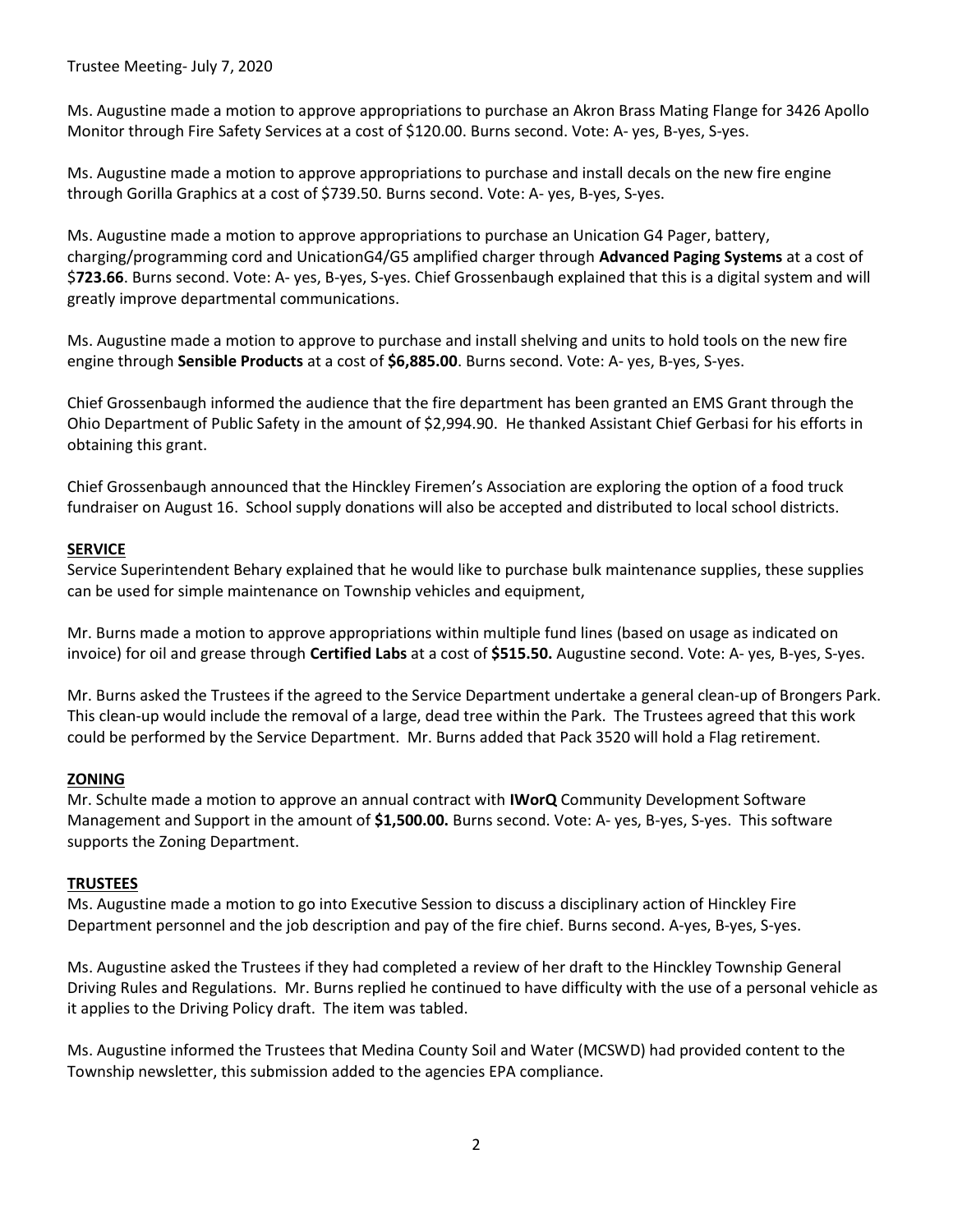Ms. Augustine made a motion to approve appropriations to purchase an Akron Brass Mating Flange for 3426 Apollo Monitor through Fire Safety Services at a cost of \$120.00. Burns second. Vote: A- yes, B-yes, S-yes.

Ms. Augustine made a motion to approve appropriations to purchase and install decals on the new fire engine through Gorilla Graphics at a cost of \$739.50. Burns second. Vote: A- yes, B-yes, S-yes.

Ms. Augustine made a motion to approve appropriations to purchase an Unication G4 Pager, battery, charging/programming cord and UnicationG4/G5 amplified charger through Advanced Paging Systems at a cost of \$723.66. Burns second. Vote: A- yes, B-yes, S-yes. Chief Grossenbaugh explained that this is a digital system and will greatly improve departmental communications.

Ms. Augustine made a motion to approve to purchase and install shelving and units to hold tools on the new fire engine through Sensible Products at a cost of \$6,885.00. Burns second. Vote: A- yes, B-yes, S-yes.

Chief Grossenbaugh informed the audience that the fire department has been granted an EMS Grant through the Ohio Department of Public Safety in the amount of \$2,994.90. He thanked Assistant Chief Gerbasi for his efforts in obtaining this grant.

Chief Grossenbaugh announced that the Hinckley Firemen's Association are exploring the option of a food truck fundraiser on August 16. School supply donations will also be accepted and distributed to local school districts.

### **SERVICE**

Service Superintendent Behary explained that he would like to purchase bulk maintenance supplies, these supplies can be used for simple maintenance on Township vehicles and equipment,

Mr. Burns made a motion to approve appropriations within multiple fund lines (based on usage as indicated on invoice) for oil and grease through Certified Labs at a cost of \$515.50. Augustine second. Vote: A- yes, B-yes, S-yes.

Mr. Burns asked the Trustees if the agreed to the Service Department undertake a general clean-up of Brongers Park. This clean-up would include the removal of a large, dead tree within the Park. The Trustees agreed that this work could be performed by the Service Department. Mr. Burns added that Pack 3520 will hold a Flag retirement.

#### **ZONING**

Mr. Schulte made a motion to approve an annual contract with **IWorQ** Community Development Software Management and Support in the amount of \$1,500.00. Burns second. Vote: A- yes, B-yes, S-yes. This software supports the Zoning Department.

#### **TRUSTEES**

Ms. Augustine made a motion to go into Executive Session to discuss a disciplinary action of Hinckley Fire Department personnel and the job description and pay of the fire chief. Burns second. A-yes, B-yes, S-yes.

Ms. Augustine asked the Trustees if they had completed a review of her draft to the Hinckley Township General Driving Rules and Regulations. Mr. Burns replied he continued to have difficulty with the use of a personal vehicle as it applies to the Driving Policy draft. The item was tabled.

Ms. Augustine informed the Trustees that Medina County Soil and Water (MCSWD) had provided content to the Township newsletter, this submission added to the agencies EPA compliance.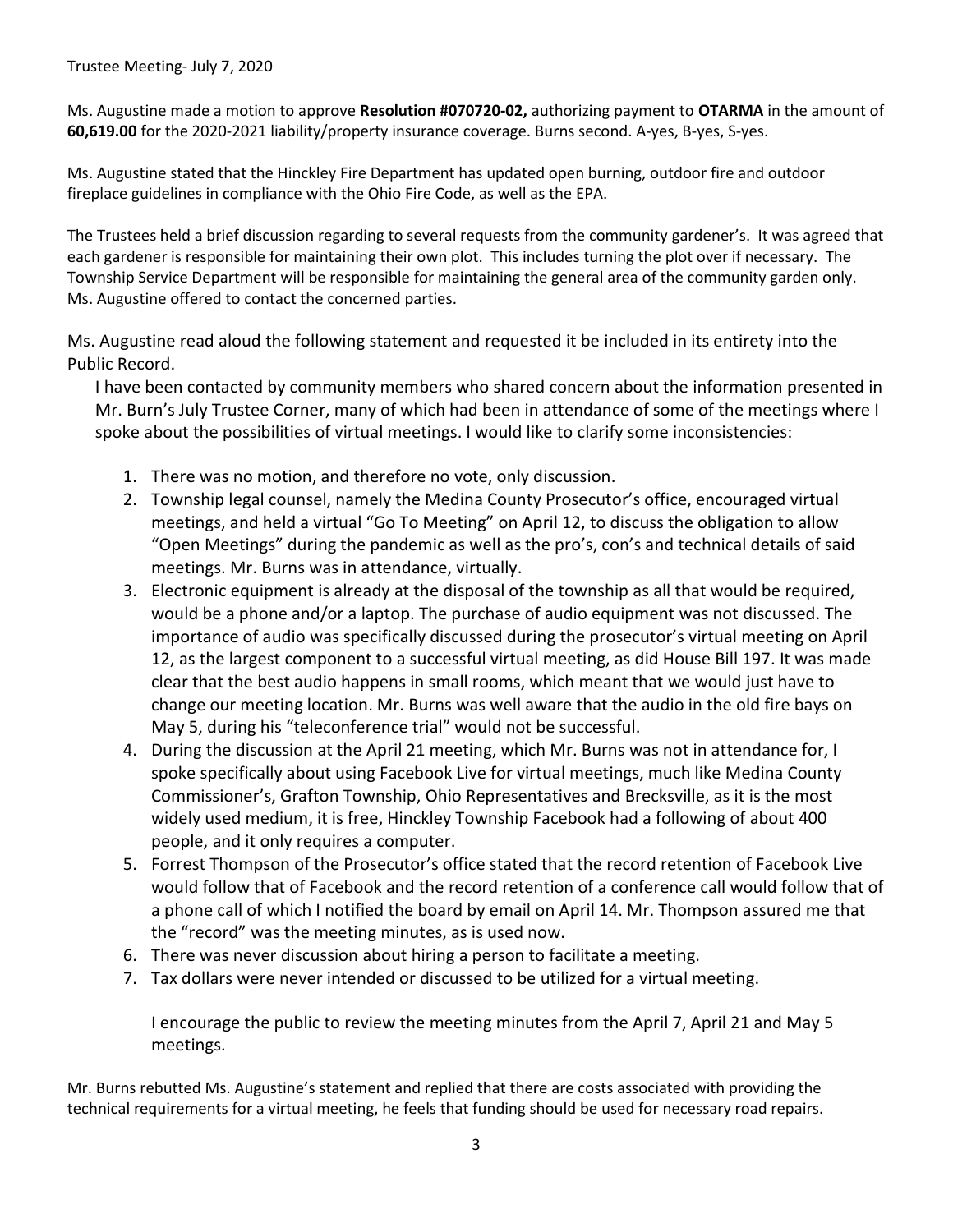Ms. Augustine made a motion to approve Resolution #070720-02, authorizing payment to OTARMA in the amount of 60,619.00 for the 2020-2021 liability/property insurance coverage. Burns second. A-yes, B-yes, S-yes.

Ms. Augustine stated that the Hinckley Fire Department has updated open burning, outdoor fire and outdoor fireplace guidelines in compliance with the Ohio Fire Code, as well as the EPA.

The Trustees held a brief discussion regarding to several requests from the community gardener's. It was agreed that each gardener is responsible for maintaining their own plot. This includes turning the plot over if necessary. The Township Service Department will be responsible for maintaining the general area of the community garden only. Ms. Augustine offered to contact the concerned parties.

Ms. Augustine read aloud the following statement and requested it be included in its entirety into the Public Record.

I have been contacted by community members who shared concern about the information presented in Mr. Burn's July Trustee Corner, many of which had been in attendance of some of the meetings where I spoke about the possibilities of virtual meetings. I would like to clarify some inconsistencies:

- 1. There was no motion, and therefore no vote, only discussion.
- 2. Township legal counsel, namely the Medina County Prosecutor's office, encouraged virtual meetings, and held a virtual "Go To Meeting" on April 12, to discuss the obligation to allow "Open Meetings" during the pandemic as well as the pro's, con's and technical details of said meetings. Mr. Burns was in attendance, virtually.
- 3. Electronic equipment is already at the disposal of the township as all that would be required, would be a phone and/or a laptop. The purchase of audio equipment was not discussed. The importance of audio was specifically discussed during the prosecutor's virtual meeting on April 12, as the largest component to a successful virtual meeting, as did House Bill 197. It was made clear that the best audio happens in small rooms, which meant that we would just have to change our meeting location. Mr. Burns was well aware that the audio in the old fire bays on May 5, during his "teleconference trial" would not be successful.
- 4. During the discussion at the April 21 meeting, which Mr. Burns was not in attendance for, I spoke specifically about using Facebook Live for virtual meetings, much like Medina County Commissioner's, Grafton Township, Ohio Representatives and Brecksville, as it is the most widely used medium, it is free, Hinckley Township Facebook had a following of about 400 people, and it only requires a computer.
- 5. Forrest Thompson of the Prosecutor's office stated that the record retention of Facebook Live would follow that of Facebook and the record retention of a conference call would follow that of a phone call of which I notified the board by email on April 14. Mr. Thompson assured me that the "record" was the meeting minutes, as is used now.
- 6. There was never discussion about hiring a person to facilitate a meeting.
- 7. Tax dollars were never intended or discussed to be utilized for a virtual meeting.

I encourage the public to review the meeting minutes from the April 7, April 21 and May 5 meetings.

Mr. Burns rebutted Ms. Augustine's statement and replied that there are costs associated with providing the technical requirements for a virtual meeting, he feels that funding should be used for necessary road repairs.